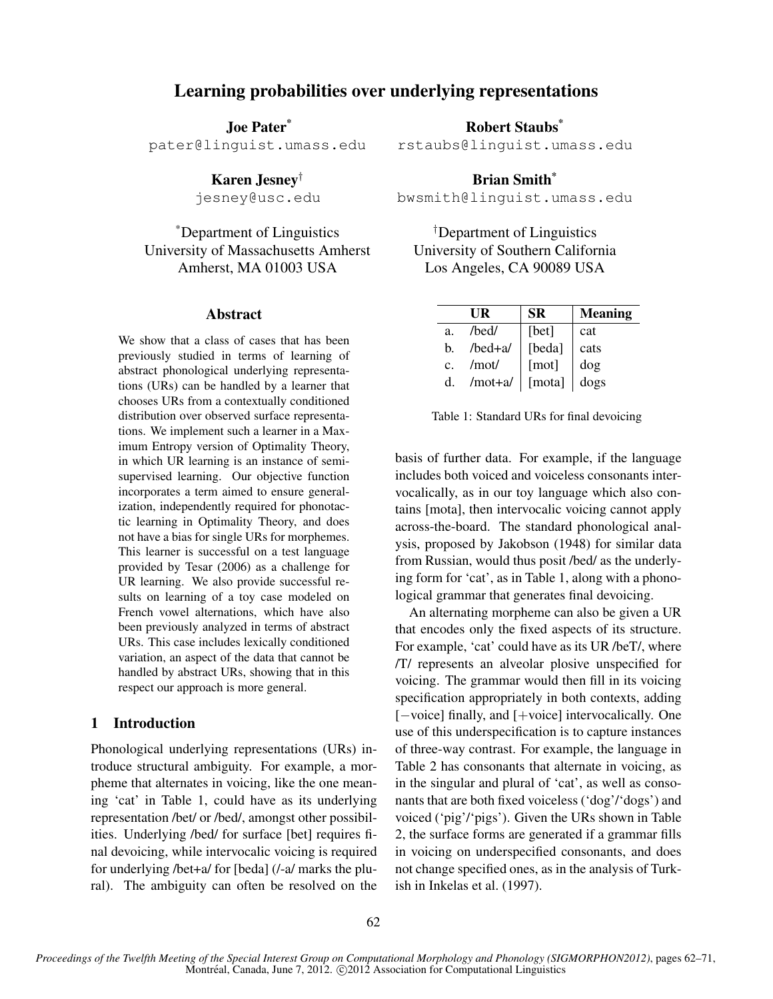# Learning probabilities over underlying representations

Joe Pater\*

pater@linguist.umass.edu

Karen Jesney†

jesney@usc.edu

\*Department of Linguistics University of Massachusetts Amherst Amherst, MA 01003 USA

#### Abstract

We show that a class of cases that has been previously studied in terms of learning of abstract phonological underlying representations (URs) can be handled by a learner that chooses URs from a contextually conditioned distribution over observed surface representations. We implement such a learner in a Maximum Entropy version of Optimality Theory, in which UR learning is an instance of semisupervised learning. Our objective function incorporates a term aimed to ensure generalization, independently required for phonotactic learning in Optimality Theory, and does not have a bias for single URs for morphemes. This learner is successful on a test language provided by Tesar (2006) as a challenge for UR learning. We also provide successful results on learning of a toy case modeled on French vowel alternations, which have also been previously analyzed in terms of abstract URs. This case includes lexically conditioned variation, an aspect of the data that cannot be handled by abstract URs, showing that in this respect our approach is more general.

# 1 Introduction

Phonological underlying representations (URs) introduce structural ambiguity. For example, a morpheme that alternates in voicing, like the one meaning 'cat' in Table 1, could have as its underlying representation /bet/ or /bed/, amongst other possibilities. Underlying /bed/ for surface [bet] requires final devoicing, while intervocalic voicing is required for underlying /bet+a/ for [beda] (/-a/ marks the plural). The ambiguity can often be resolved on the Robert Staubs\*

rstaubs@linguist.umass.edu

Brian Smith<sup>\*</sup> bwsmith@linguist.umass.edu

†Department of Linguistics University of Southern California Los Angeles, CA 90089 USA

|                | UR          | <b>SR</b> | <b>Meaning</b> |
|----------------|-------------|-----------|----------------|
| a <sub>1</sub> | $/$ bed $/$ | [bet]     | cat            |
| b.             | /bed+a/     | [beda]    | cats           |
| $\mathbf{C}$ . | /mot/       | [mot]     | dog            |
| d.             | $/mot+a/$   | [mota]    | dogs           |

Table 1: Standard URs for final devoicing

basis of further data. For example, if the language includes both voiced and voiceless consonants intervocalically, as in our toy language which also contains [mota], then intervocalic voicing cannot apply across-the-board. The standard phonological analysis, proposed by Jakobson (1948) for similar data from Russian, would thus posit /bed/ as the underlying form for 'cat', as in Table 1, along with a phonological grammar that generates final devoicing.

An alternating morpheme can also be given a UR that encodes only the fixed aspects of its structure. For example, 'cat' could have as its UR /beT/, where /T/ represents an alveolar plosive unspecified for voicing. The grammar would then fill in its voicing specification appropriately in both contexts, adding [−voice] finally, and [+voice] intervocalically. One use of this underspecification is to capture instances of three-way contrast. For example, the language in Table 2 has consonants that alternate in voicing, as in the singular and plural of 'cat', as well as consonants that are both fixed voiceless ('dog'/'dogs') and voiced ('pig'/'pigs'). Given the URs shown in Table 2, the surface forms are generated if a grammar fills in voicing on underspecified consonants, and does not change specified ones, as in the analysis of Turkish in Inkelas et al. (1997).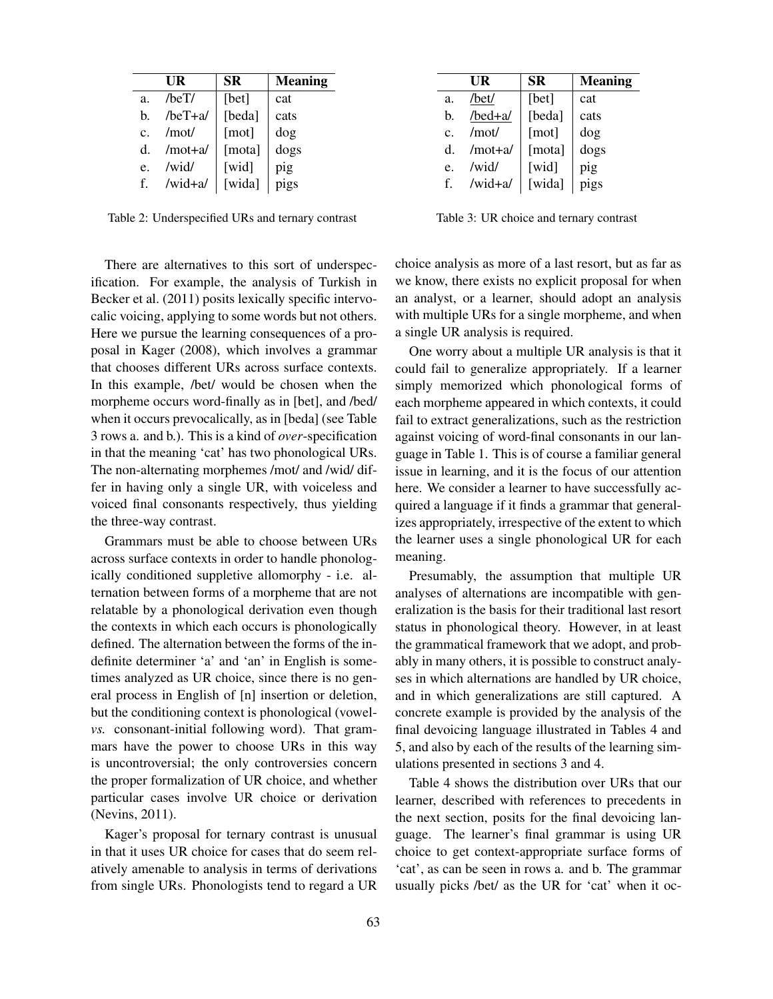|                | UR          | <b>SR</b> | <b>Meaning</b> |
|----------------|-------------|-----------|----------------|
| a <sub>1</sub> | $/$ heT $/$ | [bet]     | cat            |
| h.             | $/beT+a/$   | [beda]    | cats           |
| $C_{\cdot}$    | /mot/       | [mot]     | dog            |
| d.             | $/mot+a/$   | [mota]    | dogs           |
| e.             | /wid/       | [wid]     | pig            |
| f.             | /wid+a/     | [wida]    | pigs           |

Table 2: Underspecified URs and ternary contrast

There are alternatives to this sort of underspecification. For example, the analysis of Turkish in Becker et al. (2011) posits lexically specific intervocalic voicing, applying to some words but not others. Here we pursue the learning consequences of a proposal in Kager (2008), which involves a grammar that chooses different URs across surface contexts. In this example, /bet/ would be chosen when the morpheme occurs word-finally as in [bet], and /bed/ when it occurs prevocalically, as in [beda] (see Table 3 rows a. and b.). This is a kind of *over*-specification in that the meaning 'cat' has two phonological URs. The non-alternating morphemes /mot/ and /wid/ differ in having only a single UR, with voiceless and voiced final consonants respectively, thus yielding the three-way contrast.

Grammars must be able to choose between URs across surface contexts in order to handle phonologically conditioned suppletive allomorphy - i.e. alternation between forms of a morpheme that are not relatable by a phonological derivation even though the contexts in which each occurs is phonologically defined. The alternation between the forms of the indefinite determiner 'a' and 'an' in English is sometimes analyzed as UR choice, since there is no general process in English of [n] insertion or deletion, but the conditioning context is phonological (vowel*vs.* consonant-initial following word). That grammars have the power to choose URs in this way is uncontroversial; the only controversies concern the proper formalization of UR choice, and whether particular cases involve UR choice or derivation (Nevins, 2011).

Kager's proposal for ternary contrast is unusual in that it uses UR choice for cases that do seem relatively amenable to analysis in terms of derivations from single URs. Phonologists tend to regard a UR

|                | UR        | SR     | <b>Meaning</b> |
|----------------|-----------|--------|----------------|
| a.             | /bet/     | [bet]  | cat            |
| b.             | /bed+a/   | [beda] | cats           |
| $\mathbf{c}$ . | /mot/     | [mot]  | dog            |
| d.             | $/mot+a/$ | [mota] | dogs           |
| e.             | /wid/     | [wid]  | pig            |
| f.             | $/wid+a/$ | [wida] | pigs           |

Table 3: UR choice and ternary contrast

choice analysis as more of a last resort, but as far as we know, there exists no explicit proposal for when an analyst, or a learner, should adopt an analysis with multiple URs for a single morpheme, and when a single UR analysis is required.

One worry about a multiple UR analysis is that it could fail to generalize appropriately. If a learner simply memorized which phonological forms of each morpheme appeared in which contexts, it could fail to extract generalizations, such as the restriction against voicing of word-final consonants in our language in Table 1. This is of course a familiar general issue in learning, and it is the focus of our attention here. We consider a learner to have successfully acquired a language if it finds a grammar that generalizes appropriately, irrespective of the extent to which the learner uses a single phonological UR for each meaning.

Presumably, the assumption that multiple UR analyses of alternations are incompatible with generalization is the basis for their traditional last resort status in phonological theory. However, in at least the grammatical framework that we adopt, and probably in many others, it is possible to construct analyses in which alternations are handled by UR choice, and in which generalizations are still captured. A concrete example is provided by the analysis of the final devoicing language illustrated in Tables 4 and 5, and also by each of the results of the learning simulations presented in sections 3 and 4.

Table 4 shows the distribution over URs that our learner, described with references to precedents in the next section, posits for the final devoicing language. The learner's final grammar is using UR choice to get context-appropriate surface forms of 'cat', as can be seen in rows a. and b. The grammar usually picks /bet/ as the UR for 'cat' when it oc-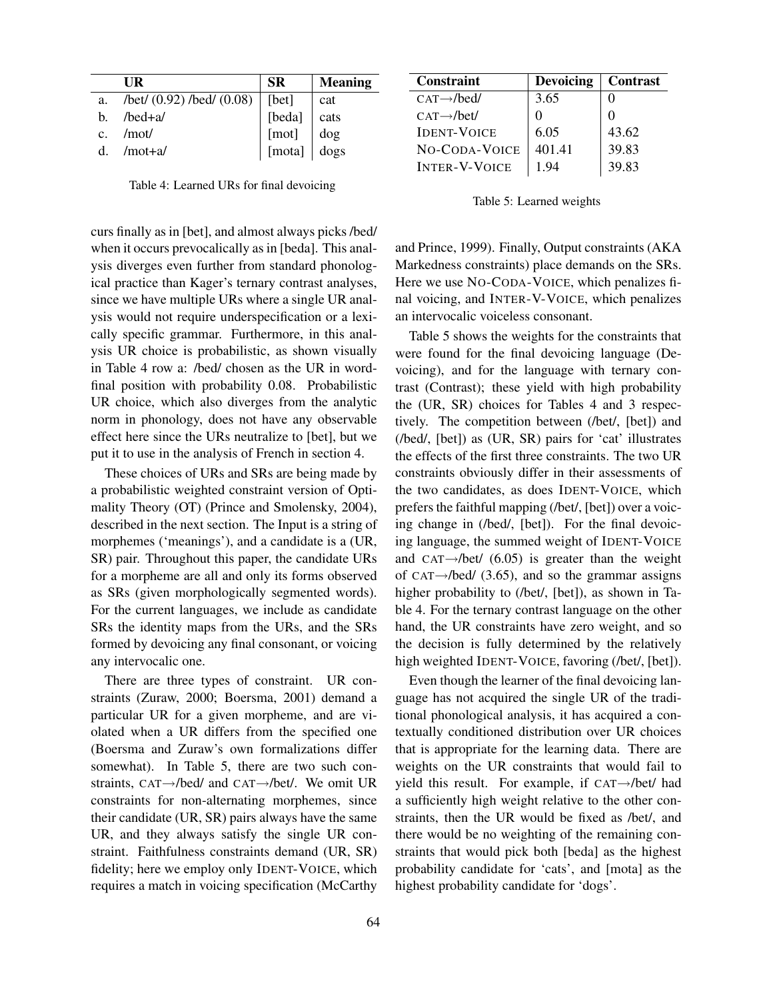|             | UR                                       | <b>SR</b>                               | <b>Meaning</b> |
|-------------|------------------------------------------|-----------------------------------------|----------------|
|             | a. /bet/ $(0.92)$ /bed/ $(0.08)$   [bet] |                                         | cat            |
| h.          | /bed+a/                                  | [beda] cats<br>[mot] dog<br>[mota] dogs |                |
| $c_{\cdot}$ | /mot/                                    |                                         |                |
| d.          | /mot+a/                                  |                                         |                |

Table 4: Learned URs for final devoicing

curs finally as in [bet], and almost always picks /bed/ when it occurs prevocalically as in [beda]. This analysis diverges even further from standard phonological practice than Kager's ternary contrast analyses, since we have multiple URs where a single UR analysis would not require underspecification or a lexically specific grammar. Furthermore, in this analysis UR choice is probabilistic, as shown visually in Table 4 row a: /bed/ chosen as the UR in wordfinal position with probability 0.08. Probabilistic UR choice, which also diverges from the analytic norm in phonology, does not have any observable effect here since the URs neutralize to [bet], but we put it to use in the analysis of French in section 4.

These choices of URs and SRs are being made by a probabilistic weighted constraint version of Optimality Theory (OT) (Prince and Smolensky, 2004), described in the next section. The Input is a string of morphemes ('meanings'), and a candidate is a (UR, SR) pair. Throughout this paper, the candidate URs for a morpheme are all and only its forms observed as SRs (given morphologically segmented words). For the current languages, we include as candidate SRs the identity maps from the URs, and the SRs formed by devoicing any final consonant, or voicing any intervocalic one.

There are three types of constraint. UR constraints (Zuraw, 2000; Boersma, 2001) demand a particular UR for a given morpheme, and are violated when a UR differs from the specified one (Boersma and Zuraw's own formalizations differ somewhat). In Table 5, there are two such constraints, CAT→/bed/ and CAT→/bet/. We omit UR constraints for non-alternating morphemes, since their candidate (UR, SR) pairs always have the same UR, and they always satisfy the single UR constraint. Faithfulness constraints demand (UR, SR) fidelity; here we employ only IDENT-VOICE, which requires a match in voicing specification (McCarthy

| <b>Constraint</b>        | <b>Devoicing</b> | <b>Contrast</b> |
|--------------------------|------------------|-----------------|
| $CAT \rightarrow$ /bed/  | 3.65             |                 |
| $CAT \rightarrow / bet/$ |                  |                 |
| <b>IDENT-VOICE</b>       | 6.05             | 43.62           |
| NO-CODA-VOICE            | 401.41           | 39.83           |
| <b>INTER-V-VOICE</b>     | 194              | 39.83           |

#### Table 5: Learned weights

and Prince, 1999). Finally, Output constraints (AKA Markedness constraints) place demands on the SRs. Here we use NO-CODA-VOICE, which penalizes final voicing, and INTER-V-VOICE, which penalizes an intervocalic voiceless consonant.

Table 5 shows the weights for the constraints that were found for the final devoicing language (Devoicing), and for the language with ternary contrast (Contrast); these yield with high probability the (UR, SR) choices for Tables 4 and 3 respectively. The competition between (/bet/, [bet]) and (/bed/, [bet]) as (UR, SR) pairs for 'cat' illustrates the effects of the first three constraints. The two UR constraints obviously differ in their assessments of the two candidates, as does IDENT-VOICE, which prefers the faithful mapping (/bet/, [bet]) over a voicing change in (/bed/, [bet]). For the final devoicing language, the summed weight of IDENT-VOICE and CAT $\rightarrow$ /bet/ (6.05) is greater than the weight of CAT $\rightarrow$ /bed/ (3.65), and so the grammar assigns higher probability to (/bet/, [bet]), as shown in Table 4. For the ternary contrast language on the other hand, the UR constraints have zero weight, and so the decision is fully determined by the relatively high weighted IDENT-VOICE, favoring (/bet/, [bet]).

Even though the learner of the final devoicing language has not acquired the single UR of the traditional phonological analysis, it has acquired a contextually conditioned distribution over UR choices that is appropriate for the learning data. There are weights on the UR constraints that would fail to yield this result. For example, if CAT→/bet/ had a sufficiently high weight relative to the other constraints, then the UR would be fixed as /bet/, and there would be no weighting of the remaining constraints that would pick both [beda] as the highest probability candidate for 'cats', and [mota] as the highest probability candidate for 'dogs'.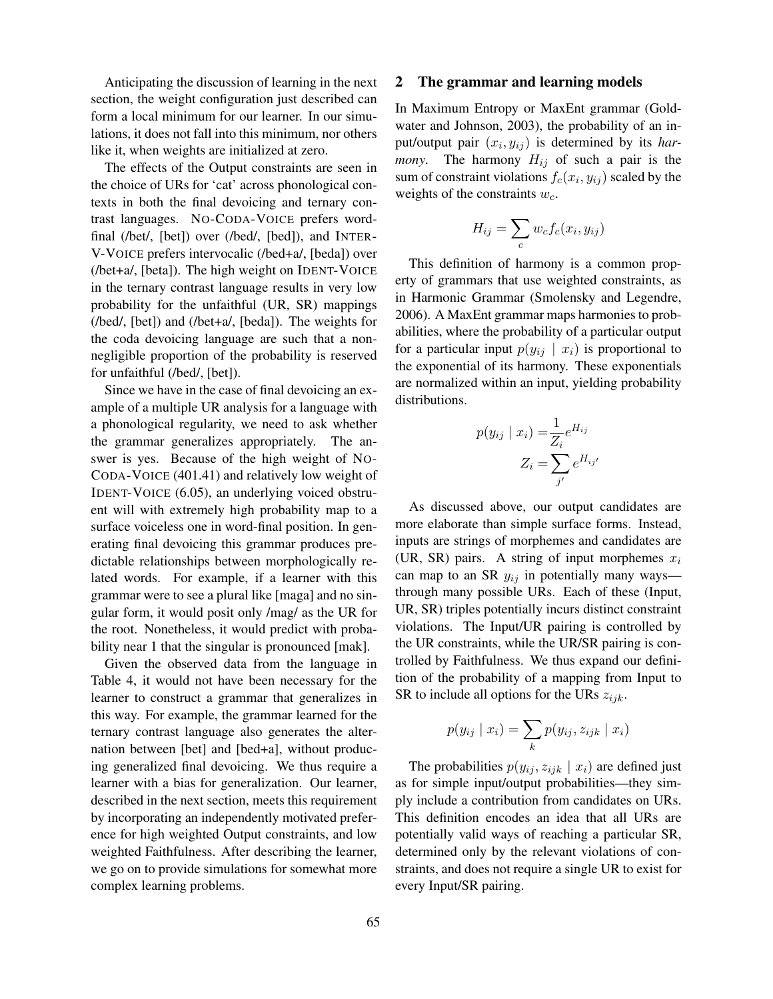Anticipating the discussion of learning in the next section, the weight configuration just described can form a local minimum for our learner. In our simulations, it does not fall into this minimum, nor others like it, when weights are initialized at zero.

The effects of the Output constraints are seen in the choice of URs for 'cat' across phonological contexts in both the final devoicing and ternary contrast languages. NO-CODA-VOICE prefers wordfinal (/bet/, [bet]) over (/bed/, [bed]), and INTER-V-VOICE prefers intervocalic (/bed+a/, [beda]) over (/bet+a/, [beta]). The high weight on IDENT-VOICE in the ternary contrast language results in very low probability for the unfaithful (UR, SR) mappings (/bed/, [bet]) and (/bet+a/, [beda]). The weights for the coda devoicing language are such that a nonnegligible proportion of the probability is reserved for unfaithful (/bed/, [bet]).

Since we have in the case of final devoicing an example of a multiple UR analysis for a language with a phonological regularity, we need to ask whether the grammar generalizes appropriately. The answer is yes. Because of the high weight of NO-CODA-VOICE (401.41) and relatively low weight of IDENT-VOICE (6.05), an underlying voiced obstruent will with extremely high probability map to a surface voiceless one in word-final position. In generating final devoicing this grammar produces predictable relationships between morphologically related words. For example, if a learner with this grammar were to see a plural like [maga] and no singular form, it would posit only /mag/ as the UR for the root. Nonetheless, it would predict with probability near 1 that the singular is pronounced [mak].

Given the observed data from the language in Table 4, it would not have been necessary for the learner to construct a grammar that generalizes in this way. For example, the grammar learned for the ternary contrast language also generates the alternation between [bet] and [bed+a], without producing generalized final devoicing. We thus require a learner with a bias for generalization. Our learner, described in the next section, meets this requirement by incorporating an independently motivated preference for high weighted Output constraints, and low weighted Faithfulness. After describing the learner, we go on to provide simulations for somewhat more complex learning problems.

## 2 The grammar and learning models

In Maximum Entropy or MaxEnt grammar (Goldwater and Johnson, 2003), the probability of an input/output pair  $(x_i, y_{ij})$  is determined by its *harmony*. The harmony  $H_{ij}$  of such a pair is the sum of constraint violations  $f_c(x_i, y_{ij})$  scaled by the weights of the constraints  $w_c$ .

$$
H_{ij} = \sum_c w_c f_c(x_i, y_{ij})
$$

This definition of harmony is a common property of grammars that use weighted constraints, as in Harmonic Grammar (Smolensky and Legendre, 2006). A MaxEnt grammar maps harmonies to probabilities, where the probability of a particular output for a particular input  $p(y_{ij} | x_i)$  is proportional to the exponential of its harmony. These exponentials are normalized within an input, yielding probability distributions.

$$
p(y_{ij} \mid x_i) = \frac{1}{Z_i} e^{H_{ij}}
$$

$$
Z_i = \sum_{j'} e^{H_{ij'}}
$$

As discussed above, our output candidates are more elaborate than simple surface forms. Instead, inputs are strings of morphemes and candidates are (UR, SR) pairs. A string of input morphemes  $x_i$ can map to an SR  $y_{ij}$  in potentially many ways through many possible URs. Each of these (Input, UR, SR) triples potentially incurs distinct constraint violations. The Input/UR pairing is controlled by the UR constraints, while the UR/SR pairing is controlled by Faithfulness. We thus expand our definition of the probability of a mapping from Input to SR to include all options for the URs  $z_{ijk}$ .

$$
p(y_{ij} \mid x_i) = \sum_k p(y_{ij}, z_{ijk} \mid x_i)
$$

The probabilities  $p(y_{ij}, z_{ijk} | x_i)$  are defined just as for simple input/output probabilities—they simply include a contribution from candidates on URs. This definition encodes an idea that all URs are potentially valid ways of reaching a particular SR, determined only by the relevant violations of constraints, and does not require a single UR to exist for every Input/SR pairing.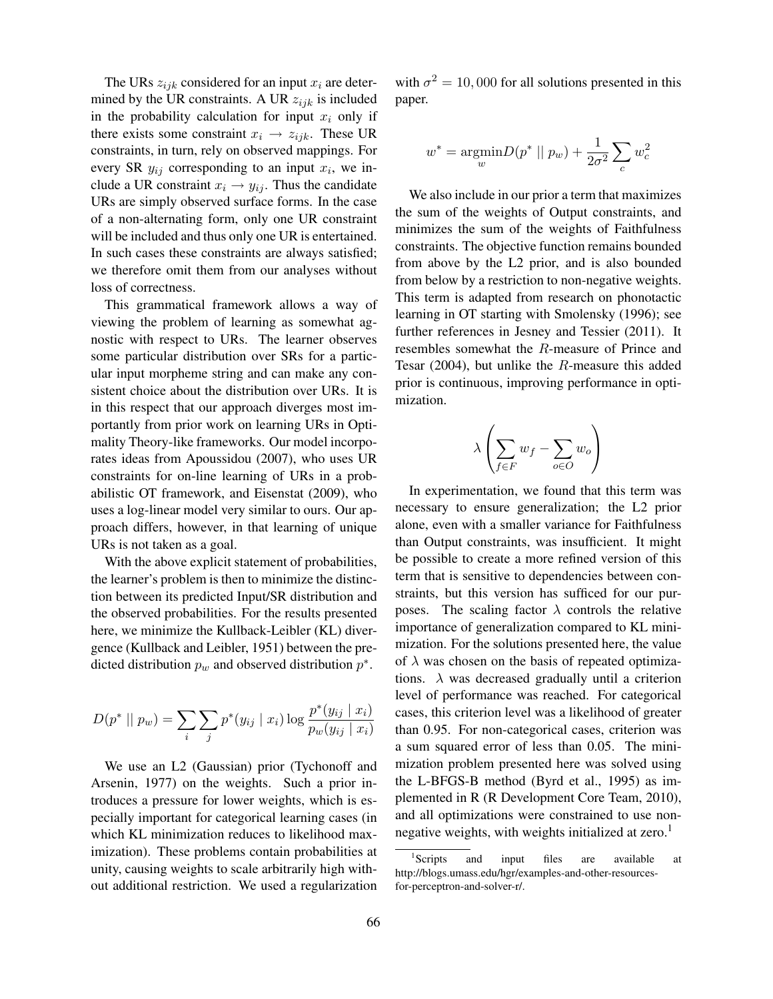The URs  $z_{ijk}$  considered for an input  $x_i$  are determined by the UR constraints. A UR  $z_{ijk}$  is included in the probability calculation for input  $x_i$  only if there exists some constraint  $x_i \rightarrow z_{ijk}$ . These UR constraints, in turn, rely on observed mappings. For every SR  $y_{ij}$  corresponding to an input  $x_i$ , we include a UR constraint  $x_i \rightarrow y_{ij}$ . Thus the candidate URs are simply observed surface forms. In the case of a non-alternating form, only one UR constraint will be included and thus only one UR is entertained. In such cases these constraints are always satisfied; we therefore omit them from our analyses without loss of correctness.

This grammatical framework allows a way of viewing the problem of learning as somewhat agnostic with respect to URs. The learner observes some particular distribution over SRs for a particular input morpheme string and can make any consistent choice about the distribution over URs. It is in this respect that our approach diverges most importantly from prior work on learning URs in Optimality Theory-like frameworks. Our model incorporates ideas from Apoussidou (2007), who uses UR constraints for on-line learning of URs in a probabilistic OT framework, and Eisenstat (2009), who uses a log-linear model very similar to ours. Our approach differs, however, in that learning of unique URs is not taken as a goal.

With the above explicit statement of probabilities, the learner's problem is then to minimize the distinction between its predicted Input/SR distribution and the observed probabilities. For the results presented here, we minimize the Kullback-Leibler (KL) divergence (Kullback and Leibler, 1951) between the predicted distribution  $p_w$  and observed distribution  $p^*$ .

$$
D(p^* \mid\mid p_w) = \sum_{i} \sum_{j} p^*(y_{ij} \mid x_i) \log \frac{p^*(y_{ij} \mid x_i)}{p_w(y_{ij} \mid x_i)}
$$

We use an L2 (Gaussian) prior (Tychonoff and Arsenin, 1977) on the weights. Such a prior introduces a pressure for lower weights, which is especially important for categorical learning cases (in which KL minimization reduces to likelihood maximization). These problems contain probabilities at unity, causing weights to scale arbitrarily high without additional restriction. We used a regularization

with  $\sigma^2 = 10,000$  for all solutions presented in this paper.

$$
w^* = \underset{w}{\text{argmin}} D(p^* \mid p_w) + \frac{1}{2\sigma^2} \sum_c w_c^2
$$

We also include in our prior a term that maximizes the sum of the weights of Output constraints, and minimizes the sum of the weights of Faithfulness constraints. The objective function remains bounded from above by the L2 prior, and is also bounded from below by a restriction to non-negative weights. This term is adapted from research on phonotactic learning in OT starting with Smolensky (1996); see further references in Jesney and Tessier (2011). It resembles somewhat the R-measure of Prince and Tesar (2004), but unlike the R-measure this added prior is continuous, improving performance in optimization.

$$
\lambda \left( \sum_{f \in F} w_f - \sum_{o \in O} w_o \right)
$$

In experimentation, we found that this term was necessary to ensure generalization; the L2 prior alone, even with a smaller variance for Faithfulness than Output constraints, was insufficient. It might be possible to create a more refined version of this term that is sensitive to dependencies between constraints, but this version has sufficed for our purposes. The scaling factor  $\lambda$  controls the relative importance of generalization compared to KL minimization. For the solutions presented here, the value of  $\lambda$  was chosen on the basis of repeated optimizations.  $\lambda$  was decreased gradually until a criterion level of performance was reached. For categorical cases, this criterion level was a likelihood of greater than 0.95. For non-categorical cases, criterion was a sum squared error of less than 0.05. The minimization problem presented here was solved using the L-BFGS-B method (Byrd et al., 1995) as implemented in R (R Development Core Team, 2010), and all optimizations were constrained to use nonnegative weights, with weights initialized at zero.<sup>1</sup>

<sup>&</sup>lt;sup>1</sup>Scripts and input files are available at http://blogs.umass.edu/hgr/examples-and-other-resourcesfor-perceptron-and-solver-r/.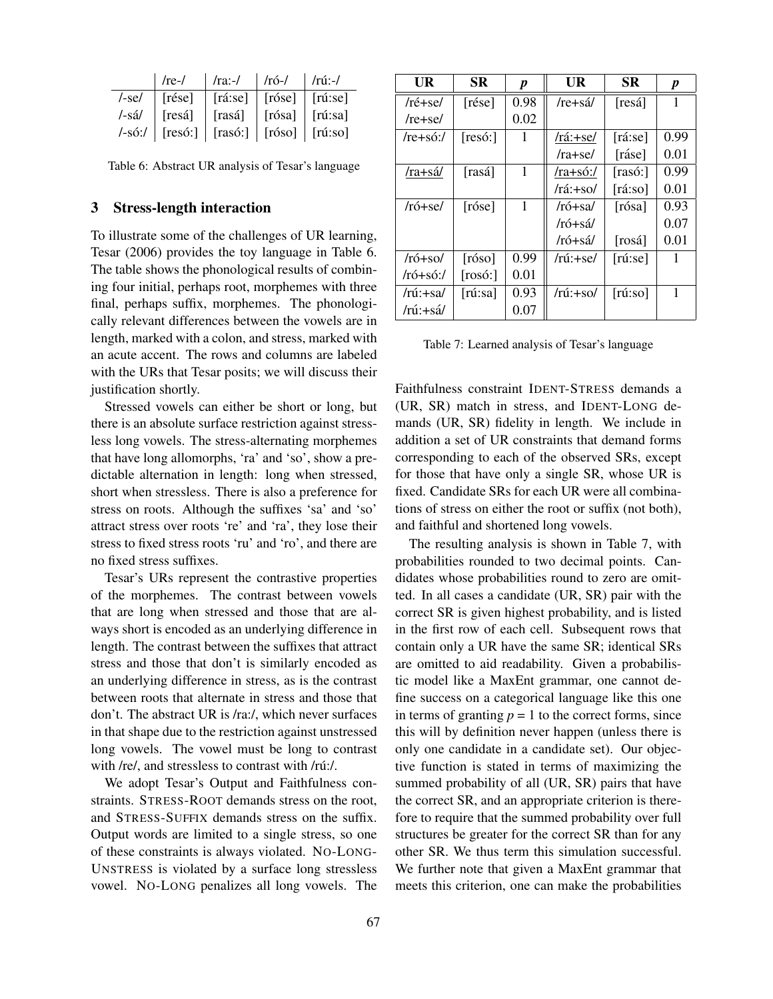|        | /rel            | /ra:-/                                         | /ró-/          | /rú:-/          |
|--------|-----------------|------------------------------------------------|----------------|-----------------|
| /-se/  | $\vert$ [rése]  | $\vert$ [rá:se] $\vert$ [róse]                 |                | $\vert$ [rú:se] |
| /-sá/  | [resá]          | [rasá]                                         | $\vert$ [rósa] | $\vert$ [rú:sa] |
| /-só:/ | $\vert$ [resó:] | $\vert$ [rasó:] $\vert$ [róso] $\vert$ [rú:so] |                |                 |

Table 6: Abstract UR analysis of Tesar's language

#### 3 Stress-length interaction

To illustrate some of the challenges of UR learning, Tesar (2006) provides the toy language in Table 6. The table shows the phonological results of combining four initial, perhaps root, morphemes with three final, perhaps suffix, morphemes. The phonologically relevant differences between the vowels are in length, marked with a colon, and stress, marked with an acute accent. The rows and columns are labeled with the URs that Tesar posits; we will discuss their justification shortly.

Stressed vowels can either be short or long, but there is an absolute surface restriction against stressless long vowels. The stress-alternating morphemes that have long allomorphs, 'ra' and 'so', show a predictable alternation in length: long when stressed, short when stressless. There is also a preference for stress on roots. Although the suffixes 'sa' and 'so' attract stress over roots 're' and 'ra', they lose their stress to fixed stress roots 'ru' and 'ro', and there are no fixed stress suffixes.

Tesar's URs represent the contrastive properties of the morphemes. The contrast between vowels that are long when stressed and those that are always short is encoded as an underlying difference in length. The contrast between the suffixes that attract stress and those that don't is similarly encoded as an underlying difference in stress, as is the contrast between roots that alternate in stress and those that don't. The abstract UR is /ra:/, which never surfaces in that shape due to the restriction against unstressed long vowels. The vowel must be long to contrast with /re/, and stressless to contrast with /rú:/.

We adopt Tesar's Output and Faithfulness constraints. STRESS-ROOT demands stress on the root, and STRESS-SUFFIX demands stress on the suffix. Output words are limited to a single stress, so one of these constraints is always violated. NO-LONG-UNSTRESS is violated by a surface long stressless vowel. NO-LONG penalizes all long vowels. The

| UR                                 | <b>SR</b>        | p    | UR             | SR                 | $\boldsymbol{p}$ |
|------------------------------------|------------------|------|----------------|--------------------|------------------|
| $/r \acute{\text{e}} + \text{se}/$ | [rése]           | 0.98 | /re+sá/        | [resá]             | 1                |
| $/re+se/$                          |                  | 0.02 |                |                    |                  |
| $/re+s6$ :/                        | [res6.]          | L    | /rá:+se/       | [raise]            | 0.99             |
|                                    |                  |      | $/ra + se/$    | [ráse]             | 0.01             |
| /ra+sá/                            | [rasá]           | 1    | /ra+só:/       | [rasó:]            | 0.99             |
|                                    |                  |      | /rá:+so/       | $[{\text{rá:so}}]$ | 0.01             |
| $/r$ ó $+$ se $/$                  | [rose]           | 1    | $/r$ ó+sa/     | [rósa]             | 0.93             |
|                                    |                  |      | /ró+sá/        |                    | 0.07             |
|                                    |                  |      | /ró+sá/        | [rosá]             | 0.01             |
| $/r$ ó+so $/$                      | [róso]           | 0.99 | /rú:+se/       | $[\text{rú:se}]$   |                  |
| $/r$ ó+só:/                        | [ros6.]          | 0.01 |                |                    |                  |
| /rú:+sa/                           | $[\text{rú:sa}]$ | 0.93 | $/ri$ :+so $/$ | $[\text{rú:so}]$   | 1                |
| /rú:+sá/                           |                  | 0.07 |                |                    |                  |

Table 7: Learned analysis of Tesar's language

Faithfulness constraint IDENT-STRESS demands a (UR, SR) match in stress, and IDENT-LONG demands (UR, SR) fidelity in length. We include in addition a set of UR constraints that demand forms corresponding to each of the observed SRs, except for those that have only a single SR, whose UR is fixed. Candidate SRs for each UR were all combinations of stress on either the root or suffix (not both), and faithful and shortened long vowels.

The resulting analysis is shown in Table 7, with probabilities rounded to two decimal points. Candidates whose probabilities round to zero are omitted. In all cases a candidate (UR, SR) pair with the correct SR is given highest probability, and is listed in the first row of each cell. Subsequent rows that contain only a UR have the same SR; identical SRs are omitted to aid readability. Given a probabilistic model like a MaxEnt grammar, one cannot define success on a categorical language like this one in terms of granting  $p = 1$  to the correct forms, since this will by definition never happen (unless there is only one candidate in a candidate set). Our objective function is stated in terms of maximizing the summed probability of all (UR, SR) pairs that have the correct SR, and an appropriate criterion is therefore to require that the summed probability over full structures be greater for the correct SR than for any other SR. We thus term this simulation successful. We further note that given a MaxEnt grammar that meets this criterion, one can make the probabilities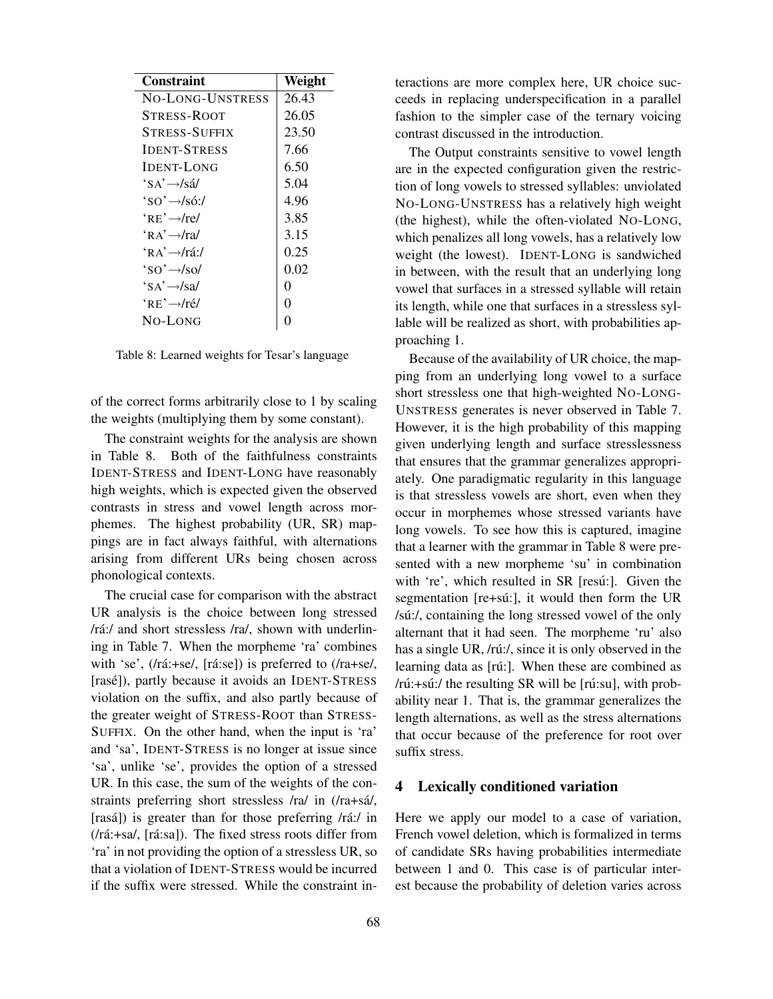| Constraint                                      | Weight   |
|-------------------------------------------------|----------|
| NO-LONG-UNSTRESS                                | 26.43    |
| STRESS-ROOT                                     | 26.05    |
| <b>STRESS-SUFFIX</b>                            | 23.50    |
| <b>IDENT-STRESS</b>                             | 7.66     |
| <b>IDENT-LONG</b>                               | 6.50     |
| $'s \rightarrow s \land s \land s$              | 5.04     |
| $\text{SO} \rightarrow \text{S} \cdot \text{S}$ | 4.96     |
| $"RE' \rightarrow$ /re/                         | 3.85     |
| $\kappa$ A' $\rightarrow$ /ra/                  | 3.15     |
| $\overleftrightarrow{R}$ A' $\rightarrow$ /rá:/ | 0.25     |
| $\text{SO}^2 \rightarrow \text{SO}^2$           | 0.02     |
| $'s \rightarrow s' \rightarrow s$               | 0        |
| $"RE' \rightarrow$ /ré/                         | $\Omega$ |
| No-Long                                         | 0        |

Table 8: Learned weights for Tesar's language

of the correct forms arbitrarily close to 1 by scaling the weights (multiplying them by some constant).

The constraint weights for the analysis are shown in Table 8. Both of the faithfulness constraints IDENT-STRESS and IDENT-LONG have reasonably high weights, which is expected given the observed contrasts in stress and vowel length across morphemes. The highest probability (UR, SR) mappings are in fact always faithful, with alternations arising from different URs being chosen across phonological contexts.

The crucial case for comparison with the abstract UR analysis is the choice between long stressed  $/ra$ :/ and short stressless  $/ra$ , shown with underlining in Table 7. When the morpheme 'ra' combines with 'se',  $(ra:=se$ ,  $[ra:=se]$  is preferred to  $(ra+se)$ , [rasé]), partly because it avoids an IDENT-STRESS violation on the suffix, and also partly because of the greater weight of STRESS-ROOT than STRESS-SUFFIX. On the other hand, when the input is 'ra' and 'sa', IDENT-STRESS is no longer at issue since 'sa', unlike 'se', provides the option of a stressed UR. In this case, the sum of the weights of the constraints preferring short stressless /ra/ in (/ra+sá/, [rasá]) is greater than for those preferring  $/r \land i$ :/ in  $(ra:=sa, [r\acute{a}:\bar{sa}]).$  The fixed stress roots differ from 'ra' in not providing the option of a stressless UR, so that a violation of IDENT-STRESS would be incurred if the suffix were stressed. While the constraint interactions are more complex here, UR choice succeeds in replacing underspecification in a parallel fashion to the simpler case of the ternary voicing contrast discussed in the introduction.

The Output constraints sensitive to vowel length are in the expected configuration given the restriction of long vowels to stressed syllables: unviolated NO-LONG-UNSTRESS has a relatively high weight (the highest), while the often-violated NO-LONG, which penalizes all long vowels, has a relatively low weight (the lowest). IDENT-LONG is sandwiched in between, with the result that an underlying long vowel that surfaces in a stressed syllable will retain its length, while one that surfaces in a stressless syllable will be realized as short, with probabilities approaching 1.

Because of the availability of UR choice, the mapping from an underlying long vowel to a surface short stressless one that high-weighted NO-LONG-UNSTRESS generates is never observed in Table 7. However, it is the high probability of this mapping given underlying length and surface stresslessness that ensures that the grammar generalizes appropriately. One paradigmatic regularity in this language is that stressless vowels are short, even when they occur in morphemes whose stressed variants have long vowels. To see how this is captured, imagine that a learner with the grammar in Table 8 were presented with a new morpheme 'su' in combination with 're', which resulted in SR [resú:]. Given the segmentation  $[{\rm re+s}\omega{\cdot}]$ , it would then form the UR /sú:/, containing the long stressed vowel of the only alternant that it had seen. The morpheme 'ru' also has a single UR, /rú:/, since it is only observed in the learning data as [rú:]. When these are combined as  $/r$ ú:+sú:/ the resulting SR will be  $[r$ ú:su], with probability near 1. That is, the grammar generalizes the length alternations, as well as the stress alternations that occur because of the preference for root over suffix stress.

## 4 Lexically conditioned variation

Here we apply our model to a case of variation, French vowel deletion, which is formalized in terms of candidate SRs having probabilities intermediate between 1 and 0. This case is of particular interest because the probability of deletion varies across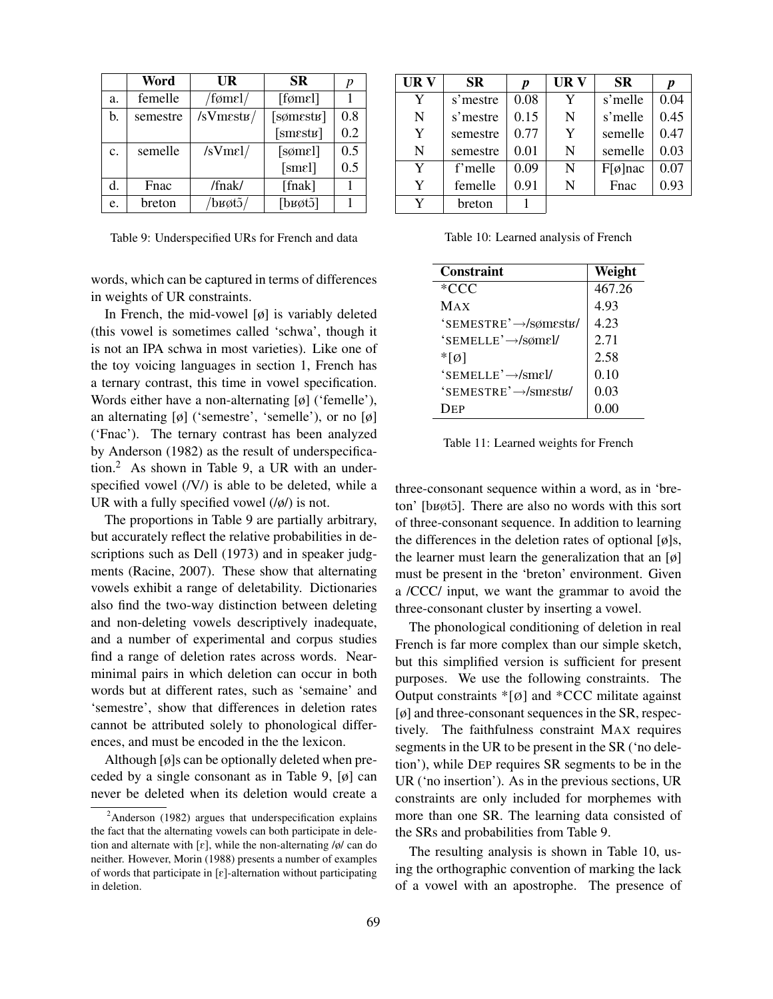|    | Word     | UR               | <b>SR</b>                    | р   |
|----|----------|------------------|------------------------------|-----|
| a. | femelle  | /fømel/          | [formel]                     |     |
| b. | semestre | $/sV$ mest $\mu$ | $[$ søm $estv]$              | 0.8 |
|    |          |                  | [smestr]                     | 0.2 |
| c. | semelle  | $/sV$ mel/       | $[{\rm some}1]$              | 0.5 |
|    |          |                  | [smel]                       | 0.5 |
| d. | Fnac     | /fnak/           | [fnak]                       |     |
| e. | breton   | /bʁøtɔ̃/         | $[\text{b}$ got $\tilde{O}]$ |     |

Table 9: Underspecified URs for French and data

words, which can be captured in terms of differences in weights of UR constraints.

In French, the mid-vowel  $[\emptyset]$  is variably deleted (this vowel is sometimes called 'schwa', though it is not an IPA schwa in most varieties). Like one of the toy voicing languages in section 1, French has a ternary contrast, this time in vowel specification. Words either have a non-alternating [ø] ('femelle'), an alternating  $[\emptyset]$  ('semestre', 'semelle'), or no  $[\emptyset]$ ('Fnac'). The ternary contrast has been analyzed by Anderson (1982) as the result of underspecification.<sup>2</sup> As shown in Table 9, a UR with an underspecified vowel (/V/) is able to be deleted, while a UR with a fully specified vowel  $(\frac{\delta}{\delta})$  is not.

The proportions in Table 9 are partially arbitrary, but accurately reflect the relative probabilities in descriptions such as Dell (1973) and in speaker judgments (Racine, 2007). These show that alternating vowels exhibit a range of deletability. Dictionaries also find the two-way distinction between deleting and non-deleting vowels descriptively inadequate, and a number of experimental and corpus studies find a range of deletion rates across words. Nearminimal pairs in which deletion can occur in both words but at different rates, such as 'semaine' and 'semestre', show that differences in deletion rates cannot be attributed solely to phonological differences, and must be encoded in the the lexicon.

Although [ø]s can be optionally deleted when preceded by a single consonant as in Table 9, [ø] can never be deleted when its deletion would create a

| UR V | <b>SR</b> | $\boldsymbol{p}$ | UR V | <b>SR</b>          | p    |
|------|-----------|------------------|------|--------------------|------|
| Y    | s'mestre  | 0.08             | Y    | s'melle            | 0.04 |
| N    | s'mestre  | 0.15             | N    | s'melle            | 0.45 |
| Y    | semestre  | 0.77             | Y    | semelle            | 0.47 |
| N    | semestre  | 0.01             | N    | semelle            | 0.03 |
| Y    | f'melle   | 0.09             | N    | $F[\emptyset]$ nac | 0.07 |
| Y    | femelle   | 0.91             | N    | Fnac               | 0.93 |
| Y    | breton    |                  |      |                    |      |

Table 10: Learned analysis of French

| Constraint                               | Weight |
|------------------------------------------|--------|
| *CCC                                     | 467.26 |
| Max                                      | 4.93   |
| $"SEMESTRE' \rightarrow /s\phi mest \nu$ | 4.23   |
| 'SEMELLE' $\rightarrow$ /sømel/          | 2.71   |
| $*$ [Ø]                                  | 2.58   |
| $"SEMELLE' \rightarrow /smel/$           | 0.10   |
| 'SEMESTRE'-/smests/                      | 0.03   |
| Dep                                      | 0.00   |

Table 11: Learned weights for French

three-consonant sequence within a word, as in 'breton' [bʁøtɔ̃]. There are also no words with this sort of three-consonant sequence. In addition to learning the differences in the deletion rates of optional  $[\emptyset]$ s, the learner must learn the generalization that an  $\lbrack \phi \rbrack$ must be present in the 'breton' environment. Given a /CCC/ input, we want the grammar to avoid the three-consonant cluster by inserting a vowel.

The phonological conditioning of deletion in real French is far more complex than our simple sketch, but this simplified version is sufficient for present purposes. We use the following constraints. The Output constraints  $*[\emptyset]$  and  $*CCC$  militate against [ø] and three-consonant sequences in the SR, respectively. The faithfulness constraint MAX requires segments in the UR to be present in the SR ('no deletion'), while DEP requires SR segments to be in the UR ('no insertion'). As in the previous sections, UR constraints are only included for morphemes with more than one SR. The learning data consisted of the SRs and probabilities from Table 9.

The resulting analysis is shown in Table 10, using the orthographic convention of marking the lack of a vowel with an apostrophe. The presence of

 $2$ Anderson (1982) argues that underspecification explains the fact that the alternating vowels can both participate in deletion and alternate with  $\lceil \varepsilon \rceil$ , while the non-alternating /ø/ can do neither. However, Morin (1988) presents a number of examples of words that participate in  $\lceil \varepsilon \rceil$ -alternation without participating in deletion.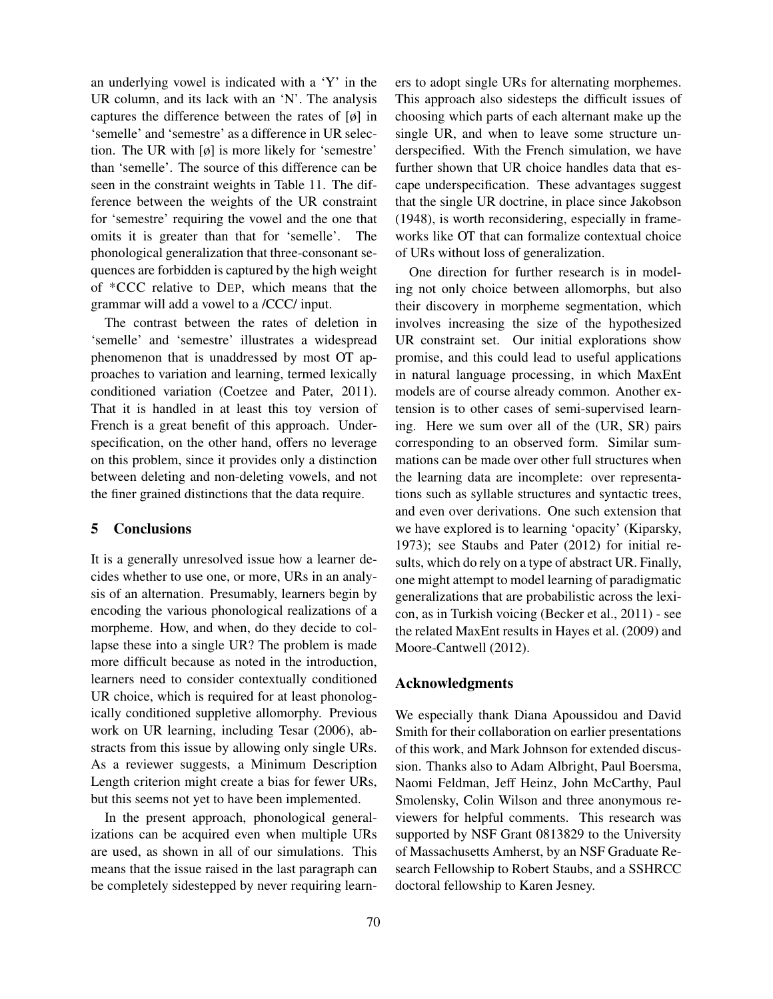an underlying vowel is indicated with a 'Y' in the UR column, and its lack with an 'N'. The analysis captures the difference between the rates of [ø] in 'semelle' and 'semestre' as a difference in UR selection. The UR with [ø] is more likely for 'semestre' than 'semelle'. The source of this difference can be seen in the constraint weights in Table 11. The difference between the weights of the UR constraint for 'semestre' requiring the vowel and the one that omits it is greater than that for 'semelle'. The phonological generalization that three-consonant sequences are forbidden is captured by the high weight of \*CCC relative to DEP, which means that the grammar will add a vowel to a /CCC/ input.

The contrast between the rates of deletion in 'semelle' and 'semestre' illustrates a widespread phenomenon that is unaddressed by most OT approaches to variation and learning, termed lexically conditioned variation (Coetzee and Pater, 2011). That it is handled in at least this toy version of French is a great benefit of this approach. Underspecification, on the other hand, offers no leverage on this problem, since it provides only a distinction between deleting and non-deleting vowels, and not the finer grained distinctions that the data require.

# 5 Conclusions

It is a generally unresolved issue how a learner decides whether to use one, or more, URs in an analysis of an alternation. Presumably, learners begin by encoding the various phonological realizations of a morpheme. How, and when, do they decide to collapse these into a single UR? The problem is made more difficult because as noted in the introduction, learners need to consider contextually conditioned UR choice, which is required for at least phonologically conditioned suppletive allomorphy. Previous work on UR learning, including Tesar (2006), abstracts from this issue by allowing only single URs. As a reviewer suggests, a Minimum Description Length criterion might create a bias for fewer URs, but this seems not yet to have been implemented.

In the present approach, phonological generalizations can be acquired even when multiple URs are used, as shown in all of our simulations. This means that the issue raised in the last paragraph can be completely sidestepped by never requiring learners to adopt single URs for alternating morphemes. This approach also sidesteps the difficult issues of choosing which parts of each alternant make up the single UR, and when to leave some structure underspecified. With the French simulation, we have further shown that UR choice handles data that escape underspecification. These advantages suggest that the single UR doctrine, in place since Jakobson (1948), is worth reconsidering, especially in frameworks like OT that can formalize contextual choice of URs without loss of generalization.

One direction for further research is in modeling not only choice between allomorphs, but also their discovery in morpheme segmentation, which involves increasing the size of the hypothesized UR constraint set. Our initial explorations show promise, and this could lead to useful applications in natural language processing, in which MaxEnt models are of course already common. Another extension is to other cases of semi-supervised learning. Here we sum over all of the (UR, SR) pairs corresponding to an observed form. Similar summations can be made over other full structures when the learning data are incomplete: over representations such as syllable structures and syntactic trees, and even over derivations. One such extension that we have explored is to learning 'opacity' (Kiparsky, 1973); see Staubs and Pater (2012) for initial results, which do rely on a type of abstract UR. Finally, one might attempt to model learning of paradigmatic generalizations that are probabilistic across the lexicon, as in Turkish voicing (Becker et al., 2011) - see the related MaxEnt results in Hayes et al. (2009) and Moore-Cantwell (2012).

## Acknowledgments

We especially thank Diana Apoussidou and David Smith for their collaboration on earlier presentations of this work, and Mark Johnson for extended discussion. Thanks also to Adam Albright, Paul Boersma, Naomi Feldman, Jeff Heinz, John McCarthy, Paul Smolensky, Colin Wilson and three anonymous reviewers for helpful comments. This research was supported by NSF Grant 0813829 to the University of Massachusetts Amherst, by an NSF Graduate Research Fellowship to Robert Staubs, and a SSHRCC doctoral fellowship to Karen Jesney.